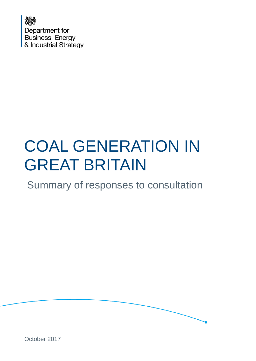

# COAL GENERATION IN GREAT BRITAIN

### Summary of responses to consultation



October 2017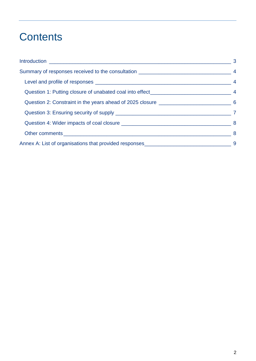# **Contents**

| $\sim$ 3 |
|----------|
|          |
|          |
|          |
|          |
|          |
|          |
|          |
|          |
|          |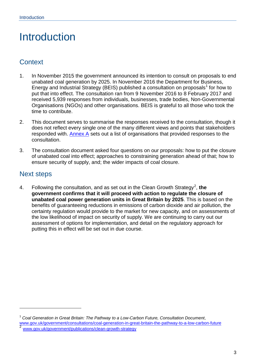# <span id="page-2-0"></span>Introduction

#### **Context**

- 1. In November 2015 the government announced its intention to consult on proposals to end unabated coal generation by 2025. In November 2016 the Department for Business, Energy and Industrial Strategy (BEIS) published a consultation on proposals<sup>[1](#page-2-1)</sup> for how to put that into effect. The consultation ran from 9 November 2016 to 8 February 2017 and received 5,939 responses from individuals, businesses, trade bodies, Non-Governmental Organisations (NGOs) and other organisations. BEIS is grateful to all those who took the time to contribute.
- 2. This document serves to summarise the responses received to the consultation, though it does not reflect every single one of the many different views and points that stakeholders responded with. Annex A sets out a list of organisations that provided responses to the consultation.
- 3. The consultation document asked four questions on our proposals: how to put the closure of unabated coal into effect; approaches to constraining generation ahead of that; how to ensure security of supply, and; the wider impacts of coal closure.

#### Next steps

-

4. Following the consultation, and as set out in the Clean Growth Strategy<sup>[2](#page-2-2)</sup>, the **government confirms that it will proceed with action to regulate the closure of unabated coal power generation units in Great Britain by 2025**. This is based on the benefits of guaranteeing reductions in emissions of carbon dioxide and air pollution, the certainty regulation would provide to the market for new capacity, and on assessments of the low likelihood of impact on security of supply. We are continuing to carry out our assessment of options for implementation, and detail on the regulatory approach for putting this in effect will be set out in due course.

<span id="page-2-2"></span><span id="page-2-1"></span><sup>1</sup> *Coal Generation in Great Britain: The Pathway to a Low-Carbon Future, Consultation Document*, www.gov.uk/government/consultations/coal-generation-in-great-britain-the-pathway-to-a-low-carbon-future<br><sup>2</sup> [www.gov.uk/government/publications/clean-growth-strategy](https://www.gov.uk/government/publications/clean-growth-strategy)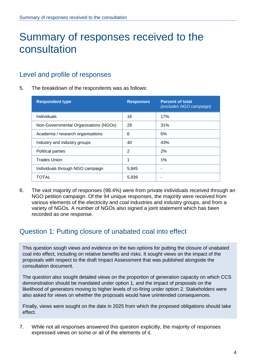# Summary of responses received to the consultation

#### <span id="page-3-0"></span>Level and profile of responses

5. The breakdown of the respondents was as follows:

| <b>Respondent type</b>                | <b>Responses</b> | <b>Percent of total</b><br>(excludes NGO campaign) |
|---------------------------------------|------------------|----------------------------------------------------|
| Individuals                           | 16               | 17%                                                |
| Non-Governmental Organisations (NGOs) | 29               | 31%                                                |
| Academia / research organisations     | 6                | 6%                                                 |
| Industry and industry groups          | 40               | 43%                                                |
| Political parties                     | 2                | 2%                                                 |
| <b>Trades Union</b>                   | 1                | 1%                                                 |
| Individuals through NGO campaign      | 5,845            |                                                    |
| TOTAL                                 | 5,939            |                                                    |

6. The vast majority of responses (98.4%) were from private individuals received through an NGO petition campaign. Of the 94 unique responses, the majority were received from various elements of the electricity and coal industries and industry groups, and from a variety of NGOs. A number of NGOs also signed a joint statement which has been recorded as one response.

#### <span id="page-3-1"></span>Question 1: Putting closure of unabated coal into effect

This question sough views and evidence on the two options for putting the closure of unabated coal into effect, including on relative benefits and risks. It sought views on the impact of the proposals with respect to the draft Impact Assessment that was published alongside the consultation document.

The question also sought detailed views on the proportion of generation capacity on which CCS demonstration should be mandated under option 1, and the impact of proposals on the likelihood of generators moving to higher levels of co-firing under option 2. Stakeholders were also asked for views on whether the proposals would have unintended consequences.

Finally, views were sought on the date in 2025 from which the proposed obligations should take effect.

7. While not all responses answered this question explicitly, the majority of responses expressed views on some or all of the elements of it.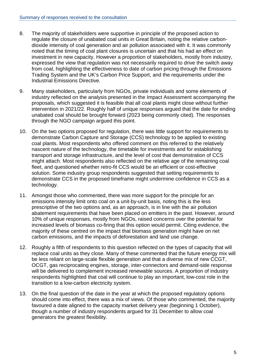- 8. The majority of stakeholders were supportive in principle of the proposed action to regulate the closure of unabated coal units in Great Britain, noting the relative carbondioxide intensity of coal generation and air pollution associated with it. It was commonly noted that the timing of coal plant closures is uncertain and that his had an effect on investment in new capacity. However a proportion of stakeholders, mostly from industry, expressed the view that regulation was not necessarily required to drive the switch away from coal, highlighting the effectiveness to date of carbon pricing through the Emissions Trading System and the UK's Carbon Price Support, and the requirements under the Industrial Emissions Directive.
- 9. Many stakeholders, particularly from NGOs, private individuals and some elements of industry reflected on the analysis presented in the Impact Assessment accompanying the proposals, which suggested it is feasible that all coal plants might close without further intervention in 2021/22. Roughly half of unique responses argued that the date for ending unabated coal should be brought forward (2023 being commonly cited). The responses through the NGO campaign argued this point.
- 10. On the two options proposed for regulation, there was little support for requirements to demonstrate Carbon Capture and Storage (CCS) technology to be applied to existing coal plants. Most respondents who offered comment on this referred to the relatively nascent nature of the technology, the timetable for investments and for establishing transport and storage infrastructure, and the level of cost that demonstration of CCS might attach. Most respondents also reflected on the relative age of the remaining coal fleet, and questioned whether retro-fit CCS would be an efficient or cost-effective solution. Some industry group respondents suggested that setting requirements to demonstrate CCS in the proposed timeframe might undermine confidence in CCS as a technology.
- 11. Amongst those who commented, there was more support for the principle for an emissions intensity limit onto coal on a unit-by-unit basis, noting this is the less prescriptive of the two options and, as an approach, is in line with the air pollution abatement requirements that have been placed on emitters in the past. However, around 10% of unique responses, mostly from NGOs, raised concerns over the potential for increased levels of biomass co-firing that this option would permit. Citing evidence, the majority of these centred on the impact that biomass generation might have on net carbon emissions, and the impacts of deforestation and land use change.
- 12. Roughly a fifth of respondents to this question reflected on the types of capacity that will replace coal units as they close. Many of these commented that the future energy mix will be less reliant on large-scale flexible generation and that a diverse mix of new CCGT, OCGT, gas reciprocating engines, storage, inter-connectors and demand-side response will be delivered to complement increased renewable sources. A proportion of industry respondents highlighted that coal will continue to play an important, low-cost role in the transition to a low-carbon electricity system.
- 13. On the final question of the date in the year at which the proposed regulatory options should come into effect, there was a mix of views. Of those who commented, the majority favoured a date aligned to the capacity market delivery year (beginning 1 October), though a number of industry respondents argued for 31 December to allow coal generators the greatest flexibility.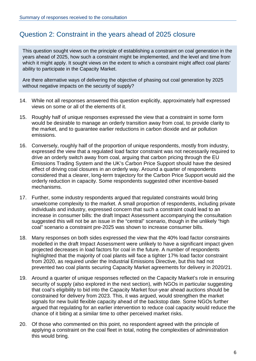#### <span id="page-5-0"></span>Question 2: Constraint in the years ahead of 2025 closure

This question sought views on the principle of establishing a constraint on coal generation in the years ahead of 2025, how such a constraint might be implemented, and the level and time from which it might apply. It sought views on the extent to which a constraint might affect coal plants' ability to participate in the Capacity Market.

Are there alternative ways of delivering the objective of phasing out coal generation by 2025 without negative impacts on the security of supply?

- 14. While not all responses answered this question explicitly, approximately half expressed views on some or all of the elements of it.
- 15. Roughly half of unique responses expressed the view that a constraint in some form would be desirable to manage an orderly transition away from coal, to provide clarity to the market, and to guarantee earlier reductions in carbon dioxide and air pollution emissions.
- 16. Conversely, roughly half of the proportion of unique respondents, mostly from industry, expressed the view that a regulated load factor constraint was not necessarily required to drive an orderly switch away from coal, arguing that carbon pricing through the EU Emissions Trading System and the UK's Carbon Price Support should have the desired effect of driving coal closures in an orderly way. Around a quarter of respondents considered that a clearer, long-term trajectory for the Carbon Price Support would aid the orderly reduction in capacity. Some respondents suggested other incentive-based mechanisms.
- 17. Further, some industry respondents argued that regulated constraints would bring unwelcome complexity to the market. A small proportion of respondents, including private individuals and industry, expressed concern that such a constraint could lead to an increase in consumer bills: the draft Impact Assessment accompanying the consultation suggested this will not be an issue in the "central" scenario, though in the unlikely "high coal" scenario a constraint pre-2025 was shown to increase consumer bills.
- 18. Many responses on both sides expressed the view that the 40% load factor constraints modelled in the draft Impact Assessment were unlikely to have a significant impact given projected decreases in load factors for coal in the future. A number of respondents highlighted that the majority of coal plants will face a tighter 17% load factor constraint from 2020, as required under the Industrial Emissions Directive, but this had not prevented two coal plants securing Capacity Market agreements for delivery in 2020/21.
- 19. Around a quarter of unique responses reflected on the Capacity Market's role in ensuring security of supply (also explored in the next section), with NGOs in particular suggesting that coal's eligibility to bid into the Capacity Market four-year ahead auctions should be constrained for delivery from 2023. This, it was argued, would strengthen the market signals for new build flexible capacity ahead of the backstop date. Some NGOs further argued that regulating for an earlier intervention to reduce coal capacity would reduce the chance of it biting at a similar time to other perceived market risks.
- 20. Of those who commented on this point, no respondent agreed with the principle of applying a constraint on the coal fleet in total, noting the complexities of administration this would bring.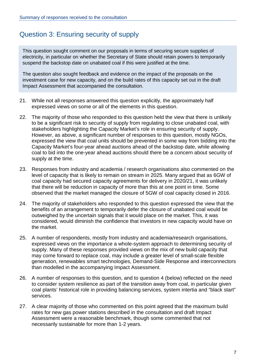#### <span id="page-6-0"></span>Question 3: Ensuring security of supply

This question sought comment on our proposals in terms of securing secure supplies of electricity, in particular on whether the Secretary of State should retain powers to temporarily suspend the backstop date on unabated coal if this were justified at the time.

The question also sought feedback and evidence on the impact of the proposals on the investment case for new capacity, and on the build rates of this capacity set out in the draft Impact Assessment that accompanied the consultation.

- 21. While not all responses answered this question explicitly, the approximately half expressed views on some or all of the elements in this question.
- 22. The majority of those who responded to this question held the view that there is unlikely to be a significant risk to security of supply from regulating to close unabated coal, with stakeholders highlighting the Capacity Market's role in ensuring security of supply. However, as above, a significant number of responses to this question, mostly NGOs, expressed the view that coal units should be prevented in some way from bidding into the Capacity Market's four-year ahead auctions ahead of the backstop date, while allowing coal to bid into the one-year ahead auctions should there be a concern about security of supply at the time.
- 23. Responses from industry and academia / research organisations also commented on the level of capacity that is likely to remain on stream in 2025. Many argued that as 6GW of coal capacity had secured capacity agreements for delivery in 2020/21, it was unlikely that there will be reduction in capacity of more than this at one point in time. Some observed that the market managed the closure of 5GW of coal capacity closed in 2016.
- 24. The majority of stakeholders who responded to this question expressed the view that the benefits of an arrangement to temporarily defer the closure of unabated coal would be outweighed by the uncertain signals that it would place on the market. This, it was considered, would diminish the confidence that investors in new capacity would have on the market.
- 25. A number of respondents, mostly from industry and academia/research organisations, expressed views on the importance a whole-system approach to determining security of supply. Many of these responses provided views on the mix of new build capacity that may come forward to replace coal, may include a greater level of small-scale flexible generation, renewables smart technologies, Demand-Side Response and interconnectors than modelled in the accompanying Impact Assessment.
- 26. A number of responses to this question, and to question 4 (below) reflected on the need to consider system resilience as part of the transition away from coal, in particular given coal plants' historical role in providing balancing services, system intertia and "black start" services.
- 27. A clear majority of those who commented on this point agreed that the maximum build rates for new gas power stations described in the consultation and draft Impact Assessment were a reasonable benchmark, though some commented that not necessarily sustainable for more than 1-2 years.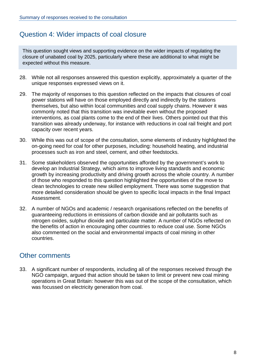#### <span id="page-7-0"></span>Question 4: Wider impacts of coal closure

This question sought views and supporting evidence on the wider impacts of regulating the closure of unabated coal by 2025, particularly where these are additional to what might be expected without this measure.

- 28. While not all responses answered this question explicitly, approximately a quarter of the unique responses expressed views on it.
- 29. The majority of responses to this question reflected on the impacts that closures of coal power stations will have on those employed directly and indirectly by the stations themselves, but also within local communities and coal supply chains. However it was commonly noted that this transition was inevitable even without the proposed interventions, as coal plants come to the end of their lives. Others pointed out that this transition was already underway, for instance with reductions in coal rail freight and port capacity over recent years.
- 30. While this was out of scope of the consultation, some elements of industry highlighted the on-going need for coal for other purposes, including: household heating, and industrial processes such as iron and steel, cement, and other feedstocks.
- 31. Some stakeholders observed the opportunities afforded by the government's work to develop an Industrial Strategy, which aims to improve living standards and economic growth by increasing productivity and driving growth across the whole country. A number of those who responded to this question highlighted the opportunities of the move to clean technologies to create new skilled employment. There was some suggestion that more detailed consideration should be given to specific local impacts in the final Impact Assessment.
- 32. A number of NGOs and academic / research organisations reflected on the benefits of guaranteeing reductions in emissions of carbon dioxide and air pollutants such as nitrogen oxides, sulphur dioxide and particulate matter. A number of NGOs reflected on the benefits of action in encouraging other countries to reduce coal use. Some NGOs also commented on the social and environmental impacts of coal mining in other countries.

#### <span id="page-7-1"></span>Other comments

33. A significant number of respondents, including all of the responses received through the NGO campaign, argued that action should be taken to limit or prevent new coal mining operations in Great Britain: however this was out of the scope of the consultation, which was focussed on electricity generation from coal.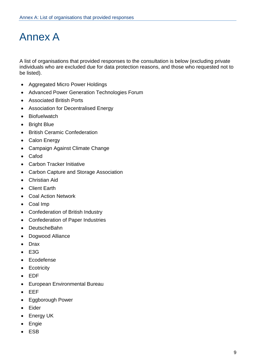## Annex A

A list of organisations that provided responses to the consultation is below (excluding private individuals who are excluded due for data protection reasons, and those who requested not to be listed).

- Aggregated Micro Power Holdings
- Advanced Power Generation Technologies Forum
- Associated British Ports
- Association for Decentralised Energy
- Biofuelwatch
- Bright Blue
- British Ceramic Confederation
- Calon Energy
- Campaign Against Climate Change
- Cafod
- Carbon Tracker Initiative
- Carbon Capture and Storage Association
- Christian Aid
- Client Earth
- Coal Action Network
- Coal Imp
- Confederation of British Industry
- Confederation of Paper Industries
- DeutscheBahn
- Dogwood Alliance
- Drax
- $-$  F<sub>3G</sub>
- **Ecodefense**
- Ecotricity
- EDF
- European Environmental Bureau
- EEF
- Eggborough Power
- Eider
- Energy UK
- **Engie**
- ESB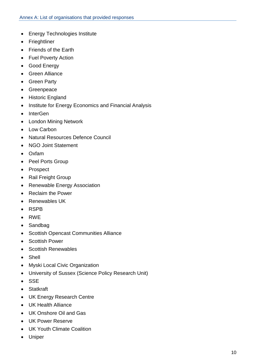- Energy Technologies Institute
- Frieghtliner
- Friends of the Earth
- Fuel Poverty Action
- Good Energy
- Green Alliance
- Green Party
- Greenpeace
- Historic England
- Institute for Energy Economics and Financial Analysis
- InterGen
- London Mining Network
- Low Carbon
- Natural Resources Defence Council
- NGO Joint Statement
- Oxfam
- Peel Ports Group
- Prospect
- Rail Freight Group
- Renewable Energy Association
- Reclaim the Power
- Renewables UK
- RSPB
- RWE
- Sandbag
- Scottish Opencast Communities Alliance
- Scottish Power
- Scottish Renewables
- Shell
- Myski Local Civic Organization
- University of Sussex (Science Policy Research Unit)
- SSE
- Statkraft
- UK Energy Research Centre
- UK Health Alliance
- UK Onshore Oil and Gas
- UK Power Reserve
- UK Youth Climate Coalition
- Uniper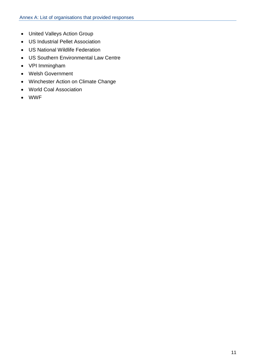- United Valleys Action Group
- US Industrial Pellet Association
- US National Wildlife Federation
- US Southern Environmental Law Centre
- VPI Immingham
- Welsh Government
- Winchester Action on Climate Change
- World Coal Association
- WWF